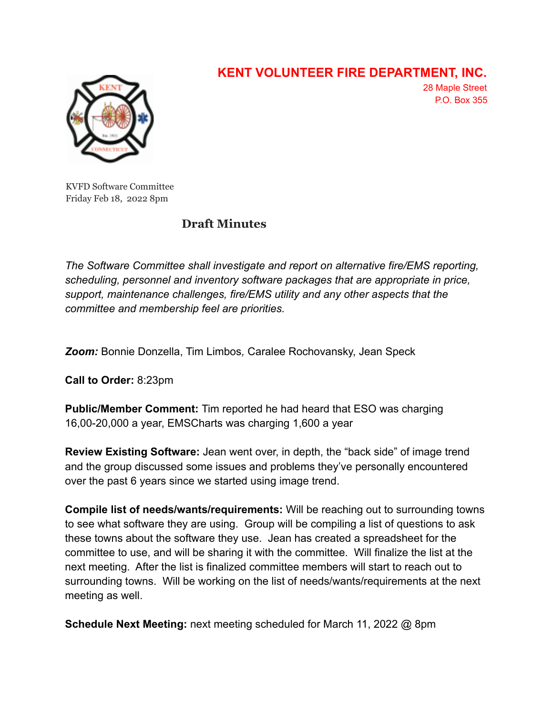

## **KENT VOLUNTEER FIRE DEPARTMENT, INC.**

28 Maple Street P.O. Box 355

KVFD Software Committee Friday Feb 18, 2022 8pm

## **Draft Minutes**

*The Software Committee shall investigate and report on alternative fire/EMS reporting, scheduling, personnel and inventory software packages that are appropriate in price, support, maintenance challenges, fire/EMS utility and any other aspects that the committee and membership feel are priorities.*

*Zoom:* Bonnie Donzella, Tim Limbos*,* Caralee Rochovansky, Jean Speck

**Call to Order:** 8:23pm

**Public/Member Comment:** Tim reported he had heard that ESO was charging 16,00-20,000 a year, EMSCharts was charging 1,600 a year

**Review Existing Software:** Jean went over, in depth, the "back side" of image trend and the group discussed some issues and problems they've personally encountered over the past 6 years since we started using image trend.

**Compile list of needs/wants/requirements:** Will be reaching out to surrounding towns to see what software they are using. Group will be compiling a list of questions to ask these towns about the software they use. Jean has created a spreadsheet for the committee to use, and will be sharing it with the committee. Will finalize the list at the next meeting. After the list is finalized committee members will start to reach out to surrounding towns. Will be working on the list of needs/wants/requirements at the next meeting as well.

**Schedule Next Meeting:** next meeting scheduled for March 11, 2022 @ 8pm